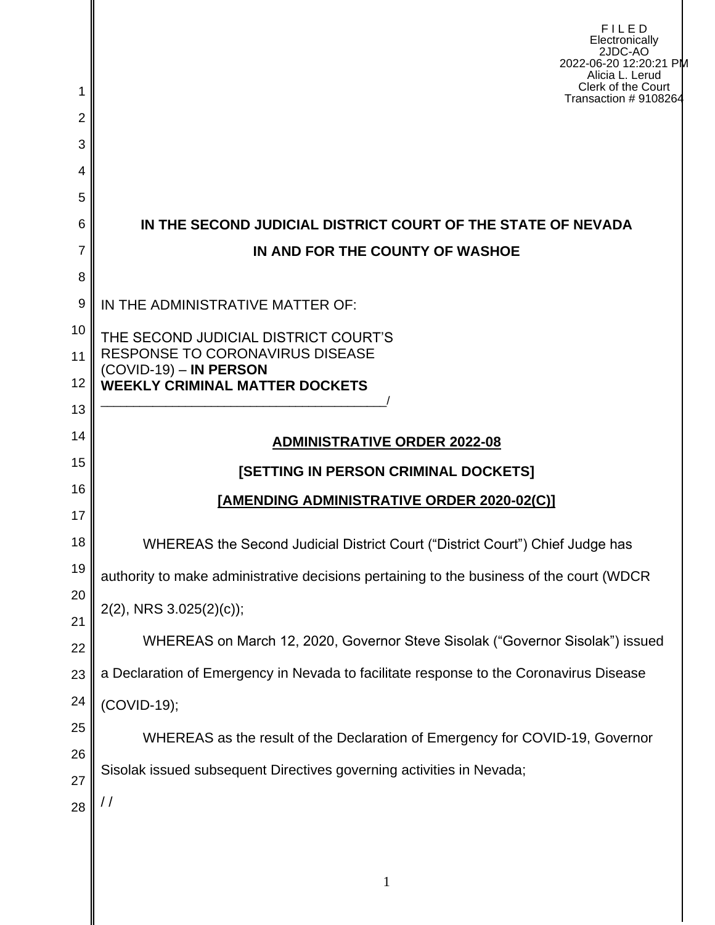|                     | FILED<br>Electronically<br>2JDC-AO<br>2022-06-20 12:20:21 PM<br>Alicia L. Lerud<br>Clerk of the Court |  |  |  |  |  |  |
|---------------------|-------------------------------------------------------------------------------------------------------|--|--|--|--|--|--|
| 1<br>$\overline{2}$ | Transaction #9108264                                                                                  |  |  |  |  |  |  |
| 3                   |                                                                                                       |  |  |  |  |  |  |
| 4                   |                                                                                                       |  |  |  |  |  |  |
| 5                   |                                                                                                       |  |  |  |  |  |  |
| 6                   | IN THE SECOND JUDICIAL DISTRICT COURT OF THE STATE OF NEVADA                                          |  |  |  |  |  |  |
| 7                   | IN AND FOR THE COUNTY OF WASHOE                                                                       |  |  |  |  |  |  |
| 8                   |                                                                                                       |  |  |  |  |  |  |
| 9                   | IN THE ADMINISTRATIVE MATTER OF:                                                                      |  |  |  |  |  |  |
| 10                  | THE SECOND JUDICIAL DISTRICT COURT'S                                                                  |  |  |  |  |  |  |
| 11                  | <b>RESPONSE TO CORONAVIRUS DISEASE</b><br>$(COVID-19) - IN PERSON$                                    |  |  |  |  |  |  |
| 12<br>13            | <b>WEEKLY CRIMINAL MATTER DOCKETS</b>                                                                 |  |  |  |  |  |  |
| 14                  |                                                                                                       |  |  |  |  |  |  |
| 15                  | <b>ADMINISTRATIVE ORDER 2022-08</b>                                                                   |  |  |  |  |  |  |
| 16                  | [SETTING IN PERSON CRIMINAL DOCKETS]                                                                  |  |  |  |  |  |  |
| 17                  | [AMENDING ADMINISTRATIVE ORDER 2020-02(C)]                                                            |  |  |  |  |  |  |
| 18                  | WHEREAS the Second Judicial District Court ("District Court") Chief Judge has                         |  |  |  |  |  |  |
| 19                  | authority to make administrative decisions pertaining to the business of the court (WDCR              |  |  |  |  |  |  |
| 20                  | $2(2)$ , NRS 3.025 $(2)(c)$ ;                                                                         |  |  |  |  |  |  |
| 21                  | WHEREAS on March 12, 2020, Governor Steve Sisolak ("Governor Sisolak") issued                         |  |  |  |  |  |  |
| 22<br>23            | a Declaration of Emergency in Nevada to facilitate response to the Coronavirus Disease                |  |  |  |  |  |  |
| 24                  | (COVID-19);                                                                                           |  |  |  |  |  |  |
| 25                  |                                                                                                       |  |  |  |  |  |  |
| 26                  | WHEREAS as the result of the Declaration of Emergency for COVID-19, Governor                          |  |  |  |  |  |  |
| 27                  | Sisolak issued subsequent Directives governing activities in Nevada;                                  |  |  |  |  |  |  |
| 28                  | / /                                                                                                   |  |  |  |  |  |  |
|                     |                                                                                                       |  |  |  |  |  |  |
|                     | $\mathbf{1}$                                                                                          |  |  |  |  |  |  |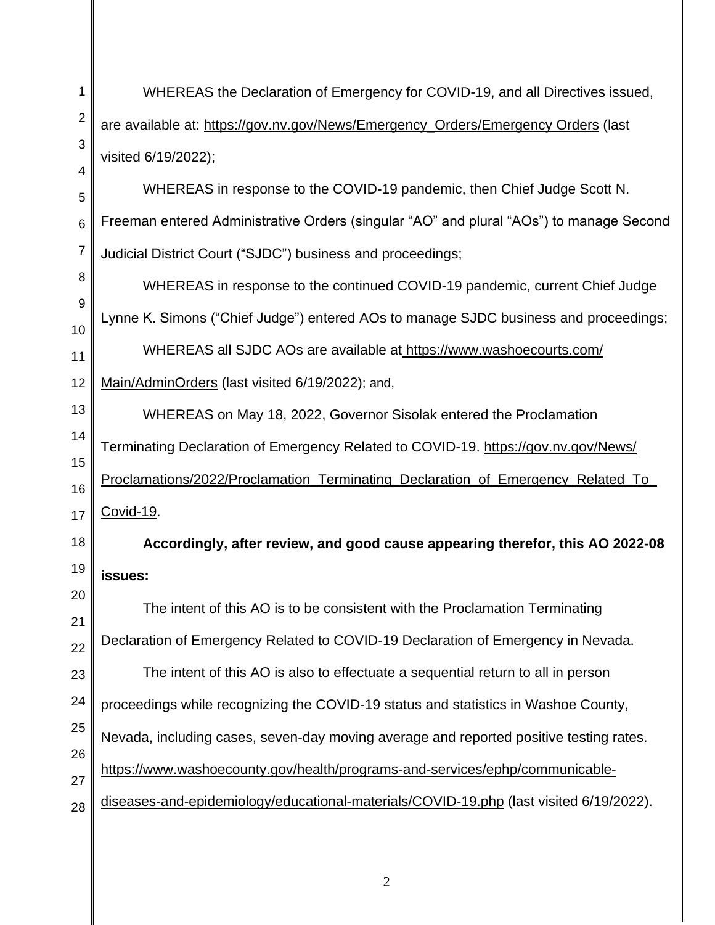1 2 3 4 5 6 7 8 9 10 11 12 13 14 15 16 17 18 19 20 21 22 23 24 25 26 27 28 WHEREAS the Declaration of Emergency for COVID-19, and all Directives issued, are available at: https://gov.nv.gov/News/Emergency\_Orders/Emergency Orders (last visited 6/19/2022); WHEREAS in response to the COVID-19 pandemic, then Chief Judge Scott N. Freeman entered Administrative Orders (singular "AO" and plural "AOs") to manage Second Judicial District Court ("SJDC") business and proceedings; WHEREAS in response to the continued COVID-19 pandemic, current Chief Judge Lynne K. Simons ("Chief Judge") entered AOs to manage SJDC business and proceedings; WHEREAS all SJDC AOs are available at <https://www.washoecourts.com/> Main/AdminOrders (last visited 6/19/2022); and, WHEREAS on May 18, 2022, Governor Sisolak entered the Proclamation Terminating Declaration of Emergency Related to COVID-19. <https://gov.nv.gov/News/> Proclamations/2022/Proclamation\_Terminating\_Declaration\_of\_Emergency\_Related\_To\_ Covid-19. **Accordingly, after review, and good cause appearing therefor, this AO 2022-08 issues:** The intent of this AO is to be consistent with the Proclamation Terminating Declaration of Emergency Related to COVID-19 Declaration of Emergency in Nevada. The intent of this AO is also to effectuate a sequential return to all in person proceedings while recognizing the COVID-19 status and statistics in Washoe County, Nevada, including cases, seven-day moving average and reported positive testing rates. [https://www.washoecounty.gov/health/programs-and-services/ephp/communicable](https://www.washoecounty.gov/health/programs-and-services/ephp/communicable-%20diseases-and-epidemiology/educational-materials/COVID-19.php)[diseases-and-epidemiology/educational-materials/COVID-19.php](https://www.washoecounty.gov/health/programs-and-services/ephp/communicable-%20diseases-and-epidemiology/educational-materials/COVID-19.php) (last visited 6/19/2022).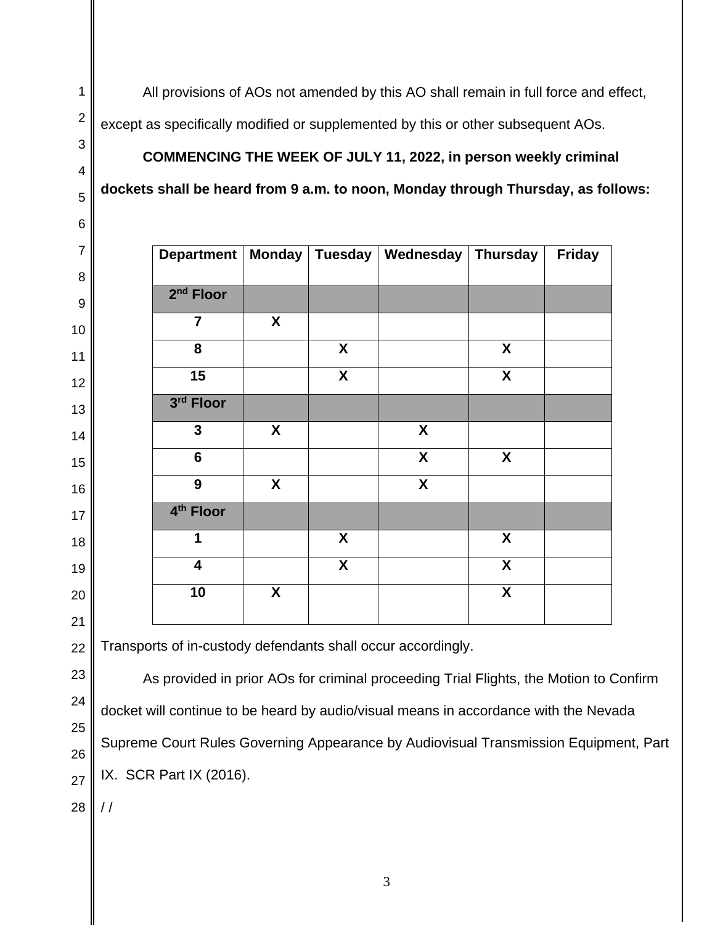All provisions of AOs not amended by this AO shall remain in full force and effect, except as specifically modified or supplemented by this or other subsequent AOs.

**COMMENCING THE WEEK OF JULY 11, 2022, in person weekly criminal dockets shall be heard from 9 a.m. to noon, Monday through Thursday, as follows:** 

| <b>Department</b>       |                  |   | Monday   Tuesday   Wednesday   Thursday |                  | <b>Friday</b> |
|-------------------------|------------------|---|-----------------------------------------|------------------|---------------|
| 2 <sup>nd</sup> Floor   |                  |   |                                         |                  |               |
| $\overline{7}$          | X                |   |                                         |                  |               |
| 8                       |                  | X |                                         | X                |               |
| 15                      |                  | X |                                         | X                |               |
| 3rd Floor               |                  |   |                                         |                  |               |
| $\mathbf{3}$            | X                |   | X                                       |                  |               |
| $6\phantom{a}$          |                  |   | $\boldsymbol{\mathsf{X}}$               | $\boldsymbol{X}$ |               |
| 9                       | X                |   | X                                       |                  |               |
| 4 <sup>th</sup> Floor   |                  |   |                                         |                  |               |
| 1                       |                  | X |                                         | X                |               |
| $\overline{\mathbf{4}}$ |                  | X |                                         | X                |               |
| 10                      | $\boldsymbol{X}$ |   |                                         | X                |               |
|                         |                  |   |                                         |                  |               |

Transports of in-custody defendants shall occur accordingly.

As provided in prior AOs for criminal proceeding Trial Flights, the Motion to Confirm docket will continue to be heard by audio/visual means in accordance with the Nevada Supreme Court Rules Governing Appearance by Audiovisual Transmission Equipment, Part IX. SCR Part IX (2016).

  $/$